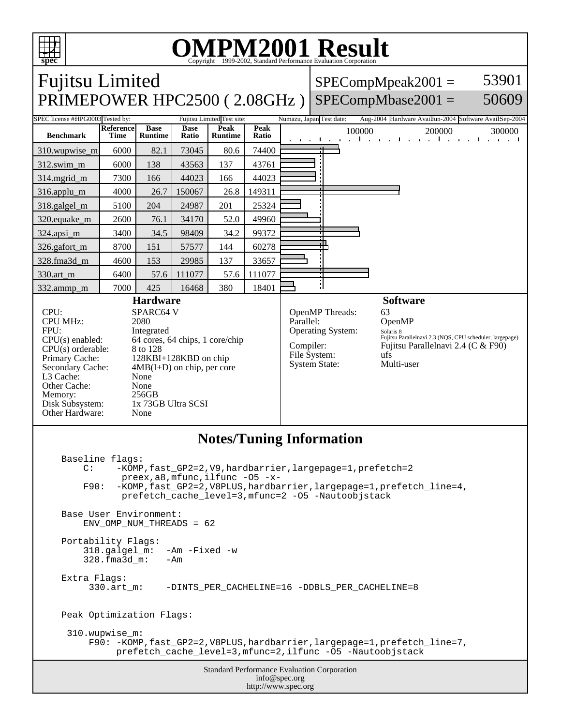

http://www.spec.org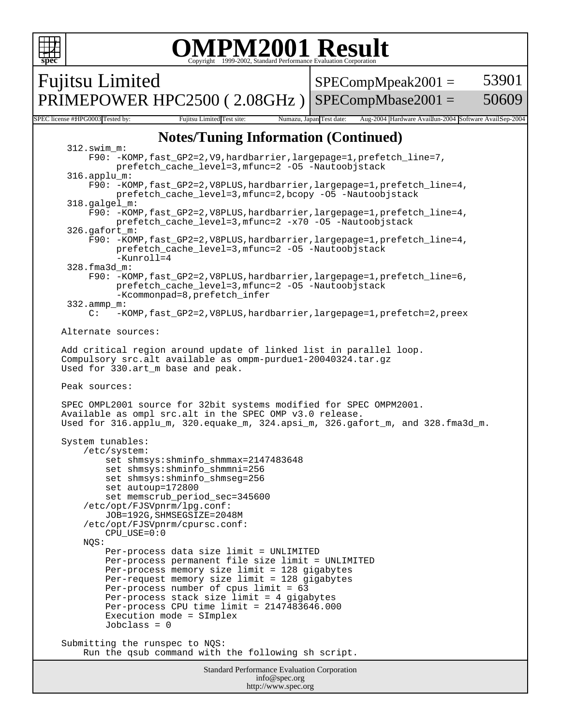```
spec
                             OMPM2001 Result
                             Copyright 1999-2002, Standard Performance Evaluation Corporation
Fujitsu Limited
PRIMEPOWER HPC2500 (2.08GHz)
                                                     SPECompMpeak2001 =SPECompMbase2001 =53901
                                                                                     50609
SPEC license #HPG0003 Tested by: Fujitsu Limited Test site: Numazu, Japan Test date: Aug-2004 Hardware Availun-2004 Software AvailSep-2004
                       Notes/Tuning Information (Continued)
       312.swim_m: 
           F90: -KOMP,fast_GP2=2,V9,hardbarrier,largepage=1,prefetch_line=7,
                prefetch_cache_level=3,mfunc=2 -O5 -Nautoobjstack
       316.applu_m:
           F90: -KOMP,fast_GP2=2,V8PLUS,hardbarrier,largepage=1,prefetch_line=4,
                prefetch_cache_level=3,mfunc=2,bcopy -O5 -Nautoobjstack
       318.galgel_m:
           F90: -KOMP,fast_GP2=2,V8PLUS,hardbarrier,largepage=1,prefetch_line=4,
                prefetch_cache_level=3,mfunc=2 -x70 -O5 -Nautoobjstack
       326.gafort_m: 
           F90: -KOMP,fast_GP2=2,V8PLUS,hardbarrier,largepage=1,prefetch_line=4,
                prefetch_cache_level=3,mfunc=2 -O5 -Nautoobjstack
                -Kunroll=4
       328.fma3d_m: 
           F90: -KOMP,fast_GP2=2,V8PLUS,hardbarrier,largepage=1,prefetch_line=6,
                prefetch_cache_level=3,mfunc=2 -O5 -Nautoobjstack
                -Kcommonpad=8,prefetch_infer
       332.ammp_m: 
           C: -KOMP,fast_GP2=2,V8PLUS,hardbarrier,largepage=1,prefetch=2,preex
     Alternate sources:
     Add critical region around update of linked list in parallel loop.
      Compulsory src.alt available as ompm-purdue1-20040324.tar.gz
     Used for 330.art_m base and peak.
      Peak sources:
      SPEC OMPL2001 source for 32bit systems modified for SPEC OMPM2001.
     Available as ompl src.alt in the SPEC OMP v3.0 release.
     Used for 316.applu_m, 320.equake_m, 324.apsi_m, 326.gafort_m, and 328.fma3d_m.
      System tunables:
          /etc/system:
              set shmsys:shminfo_shmmax=2147483648
              set shmsys:shminfo_shmmni=256
              set shmsys:shminfo_shmseg=256
              set autoup=172800
              set memscrub_period_sec=345600
          /etc/opt/FJSVpnrm/lpg.conf:
              JOB=192G,SHMSEGSIZE=2048M
          /etc/opt/FJSVpnrm/cpursc.conf:
              CPU_USE=0:0
          NQS:
              Per-process data size limit = UNLIMITED
              Per-process permanent file size limit = UNLIMITED
              Per-process memory size limit = 128 gigabytes
              Per-request memory size limit = 128 gigabytes
              Per-process number of cpus limit = 63
              Per-process stack size limit = 4 gigabytes
              Per-process CPU time limit = 2147483646.000
```
 Submitting the runspec to NQS: Run the qsub command with the following sh script.

Execution mode = SImplex

Jobclass = 0

Standard Performance Evaluation Corporation info@spec.org http://www.spec.org